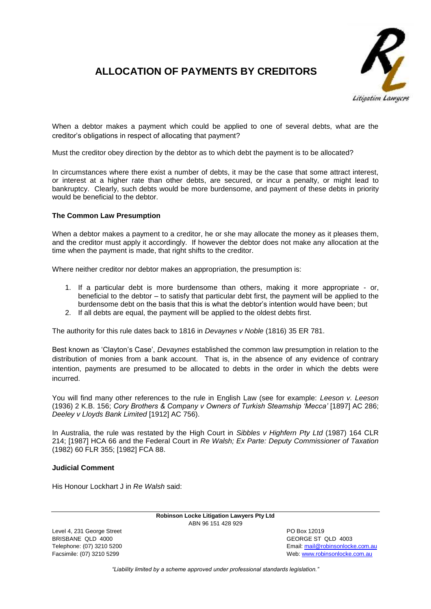

## **ALLOCATION OF PAYMENTS BY CREDITORS**

When a debtor makes a payment which could be applied to one of several debts, what are the creditor's obligations in respect of allocating that payment?

Must the creditor obey direction by the debtor as to which debt the payment is to be allocated?

In circumstances where there exist a number of debts, it may be the case that some attract interest, or interest at a higher rate than other debts, are secured, or incur a penalty, or might lead to bankruptcy. Clearly, such debts would be more burdensome, and payment of these debts in priority would be beneficial to the debtor.

## **The Common Law Presumption**

When a debtor makes a payment to a creditor, he or she may allocate the money as it pleases them, and the creditor must apply it accordingly. If however the debtor does not make any allocation at the time when the payment is made, that right shifts to the creditor.

Where neither creditor nor debtor makes an appropriation, the presumption is:

- 1. If a particular debt is more burdensome than others, making it more appropriate or, beneficial to the debtor – to satisfy that particular debt first, the payment will be applied to the burdensome debt on the basis that this is what the debtor's intention would have been; but
- 2. If all debts are equal, the payment will be applied to the oldest debts first.

The authority for this rule dates back to 1816 in *Devaynes v Noble* (1816) 35 ER 781.

Best known as 'Clayton's Case', *Devaynes* established the common law presumption in relation to the distribution of monies from a bank account. That is, in the absence of any evidence of contrary intention, payments are presumed to be allocated to debts in the order in which the debts were incurred.

You will find many other references to the rule in English Law (see for example: *Leeson v. Leeson* [\(1936\) 2 K.B. 156;](http://www.austlii.edu.au/cgi-bin/LawCite?cit=%281936%29%202%20KB%20156?stem=0&synonyms=0&query=title%28%221982%20FCA%2088%22%29&nocontext=1) *Cory Brothers & Company v Owners of Turkish Steamship 'Mecca'* [\[1897\] AC 286;](http://www.austlii.edu.au/cgi-bin/LawCite?cit=%5b1897%5d%20AC%20286?stem=0&synonyms=0&query=Jamal%20and%20Tenuta&nocontext=1) *Deeley v Lloyds Bank Limited* [\[1912\] AC 756\)](http://www.austlii.edu.au/cgi-bin/LawCite?cit=%5b1912%5d%20AC%20756?stem=0&synonyms=0&query=Jamal%20and%20Tenuta&nocontext=1).

In Australia, the rule was restated by the High Court in *Sibbles v Highfern Pty Ltd* (1987) 164 CLR 214; [\[1987\] HCA 66](http://lawyerslawyer.net/2012/05/30/must-a-creditor-obey-debtors-direction-as-to-which-of-several-debts-a-payment-is-to-be-put-towards/www.austlii.edu.au/cgi-bin/sinodisp/au/cases/cth/HCA/1987/66.html) and the Federal Court in *Re Walsh; Ex Parte: Deputy Commissioner of Taxation* (1982) 60 FLR 355; [\[1982\] FCA 88.](http://www.austlii.edu.au/cgi-bin/sinodisp/au/cases/cth/FCA/1982/88.html)

## **Judicial Comment**

His Honour Lockhart J in *Re Walsh* said:

**Robinson Locke Litigation Lawyers Pty Ltd** ABN 96 151 428 929

Level 4, 231 George Street **PO Box 12019** BRISBANE QLD 4000 GEORGE ST QLD 4003

Telephone: (07) 3210 5200 Email[: mail@robinsonlocke.com.au](mailto:mail@robinsonlocke.com.au) Facsimile: (07) 3210 5299 **Web:** [www.robinsonlocke.com.au](http://www.robinsonlocke.com.au/)

*"Liability limited by a scheme approved under professional standards legislation."*